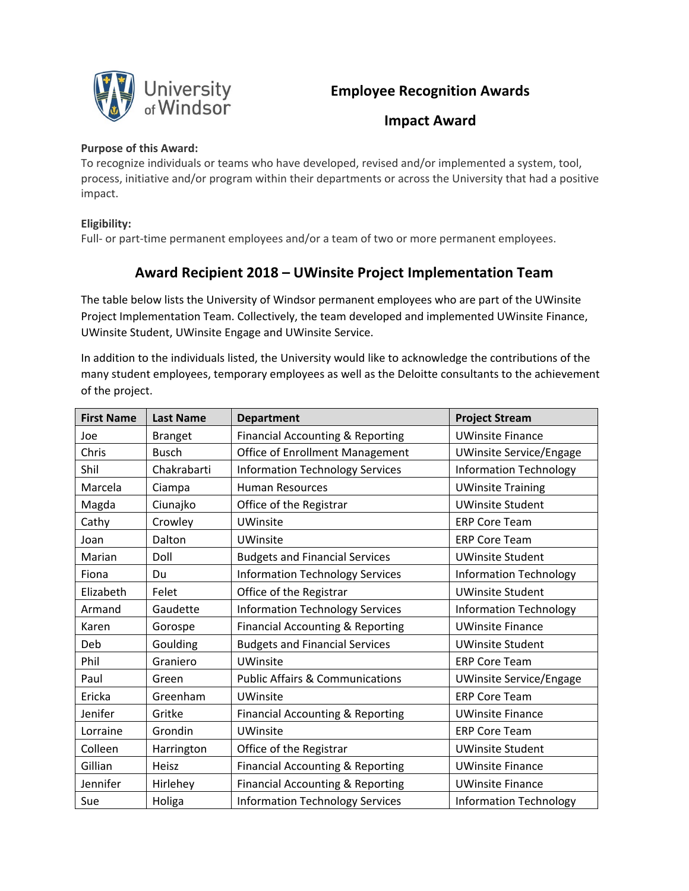

## **Employee Recognition Awards**

**Impact Award**

## **Purpose of this Award:**

To recognize individuals or teams who have developed, revised and/or implemented a system, tool, process, initiative and/or program within their departments or across the University that had a positive impact.

## **Eligibility:**

Full- or part-time permanent employees and/or a team of two or more permanent employees.

## **Award Recipient 2018 – UWinsite Project Implementation Team**

The table below lists the University of Windsor permanent employees who are part of the UWinsite Project Implementation Team. Collectively, the team developed and implemented UWinsite Finance, UWinsite Student, UWinsite Engage and UWinsite Service.

In addition to the individuals listed, the University would like to acknowledge the contributions of the many student employees, temporary employees as well as the Deloitte consultants to the achievement of the project.

| <b>First Name</b> | <b>Last Name</b> | <b>Department</b>                           | <b>Project Stream</b>          |
|-------------------|------------------|---------------------------------------------|--------------------------------|
| Joe               | <b>Branget</b>   | <b>Financial Accounting &amp; Reporting</b> | <b>UWinsite Finance</b>        |
| Chris             | <b>Busch</b>     | Office of Enrollment Management             | <b>UWinsite Service/Engage</b> |
| Shil              | Chakrabarti      | <b>Information Technology Services</b>      | <b>Information Technology</b>  |
| Marcela           | Ciampa           | <b>Human Resources</b>                      | <b>UWinsite Training</b>       |
| Magda             | Ciunajko         | Office of the Registrar                     | <b>UWinsite Student</b>        |
| Cathy             | Crowley          | <b>UWinsite</b>                             | <b>ERP Core Team</b>           |
| Joan              | Dalton           | <b>UWinsite</b>                             | <b>ERP Core Team</b>           |
| Marian            | Doll             | <b>Budgets and Financial Services</b>       | <b>UWinsite Student</b>        |
| Fiona             | Du               | <b>Information Technology Services</b>      | Information Technology         |
| Elizabeth         | Felet            | Office of the Registrar                     | <b>UWinsite Student</b>        |
| Armand            | Gaudette         | <b>Information Technology Services</b>      | <b>Information Technology</b>  |
| Karen             | Gorospe          | Financial Accounting & Reporting            | <b>UWinsite Finance</b>        |
| Deb               | Goulding         | <b>Budgets and Financial Services</b>       | <b>UWinsite Student</b>        |
| Phil              | Graniero         | <b>UWinsite</b>                             | <b>ERP Core Team</b>           |
| Paul              | Green            | <b>Public Affairs &amp; Communications</b>  | <b>UWinsite Service/Engage</b> |
| Ericka            | Greenham         | <b>UWinsite</b>                             | <b>ERP Core Team</b>           |
| Jenifer           | Gritke           | Financial Accounting & Reporting            | <b>UWinsite Finance</b>        |
| Lorraine          | Grondin          | <b>UWinsite</b>                             | <b>ERP Core Team</b>           |
| Colleen           | Harrington       | Office of the Registrar                     | <b>UWinsite Student</b>        |
| Gillian           | Heisz            | Financial Accounting & Reporting            | <b>UWinsite Finance</b>        |
| Jennifer          | Hirlehey         | Financial Accounting & Reporting            | <b>UWinsite Finance</b>        |
| Sue               | Holiga           | <b>Information Technology Services</b>      | <b>Information Technology</b>  |